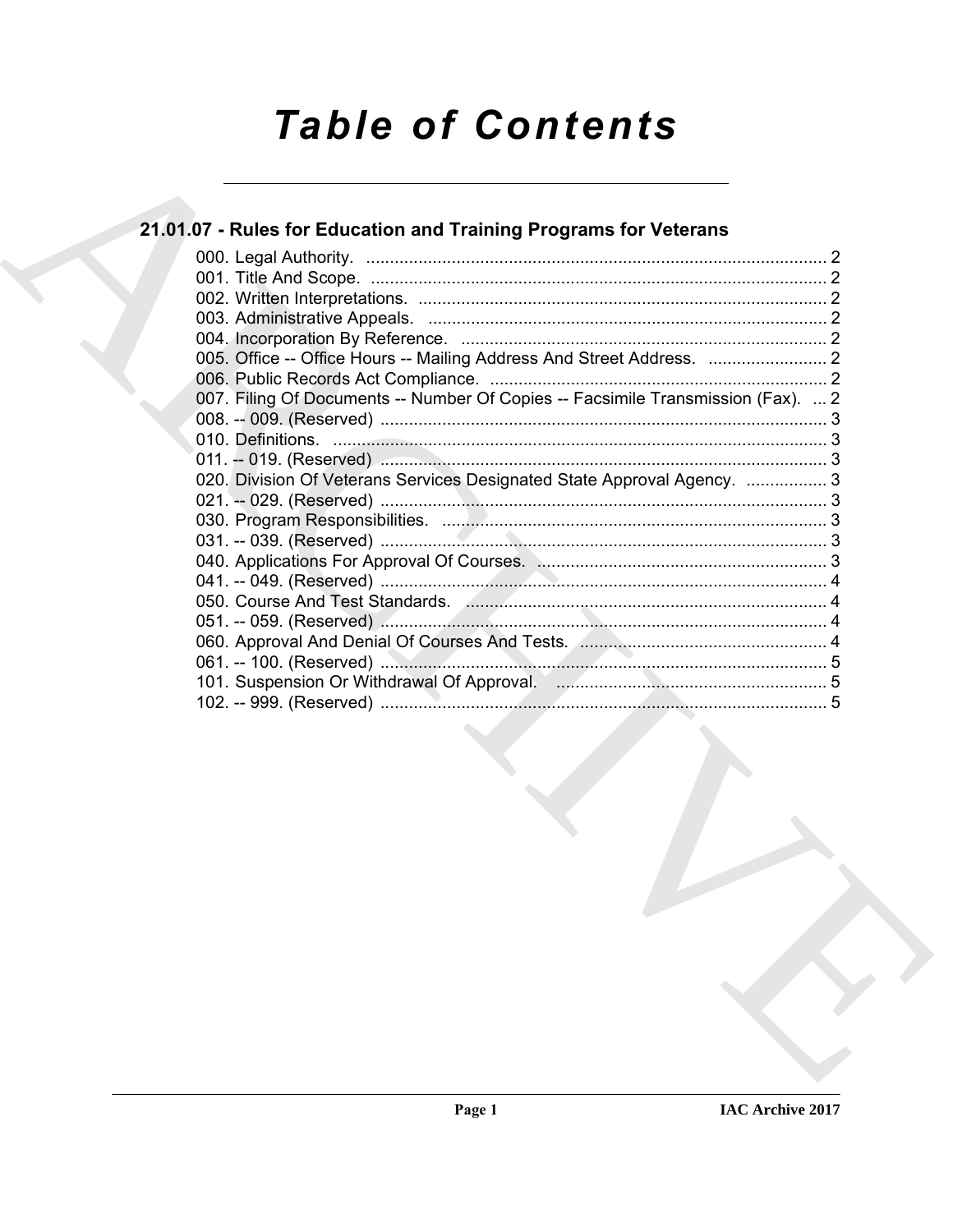# **Table of Contents**

### 21.01.07 - Rules for Education and Training Programs for Veterans

| 007. Filing Of Documents -- Number Of Copies -- Facsimile Transmission (Fax).  2       |  |
|----------------------------------------------------------------------------------------|--|
|                                                                                        |  |
|                                                                                        |  |
|                                                                                        |  |
| 020. Division Of Veterans Services Designated State Approval Agency.  3                |  |
|                                                                                        |  |
|                                                                                        |  |
|                                                                                        |  |
|                                                                                        |  |
|                                                                                        |  |
| 050. Course And Test Standards. (Canadian Communication Course And Test Standards. (4) |  |
|                                                                                        |  |
|                                                                                        |  |
|                                                                                        |  |
|                                                                                        |  |
|                                                                                        |  |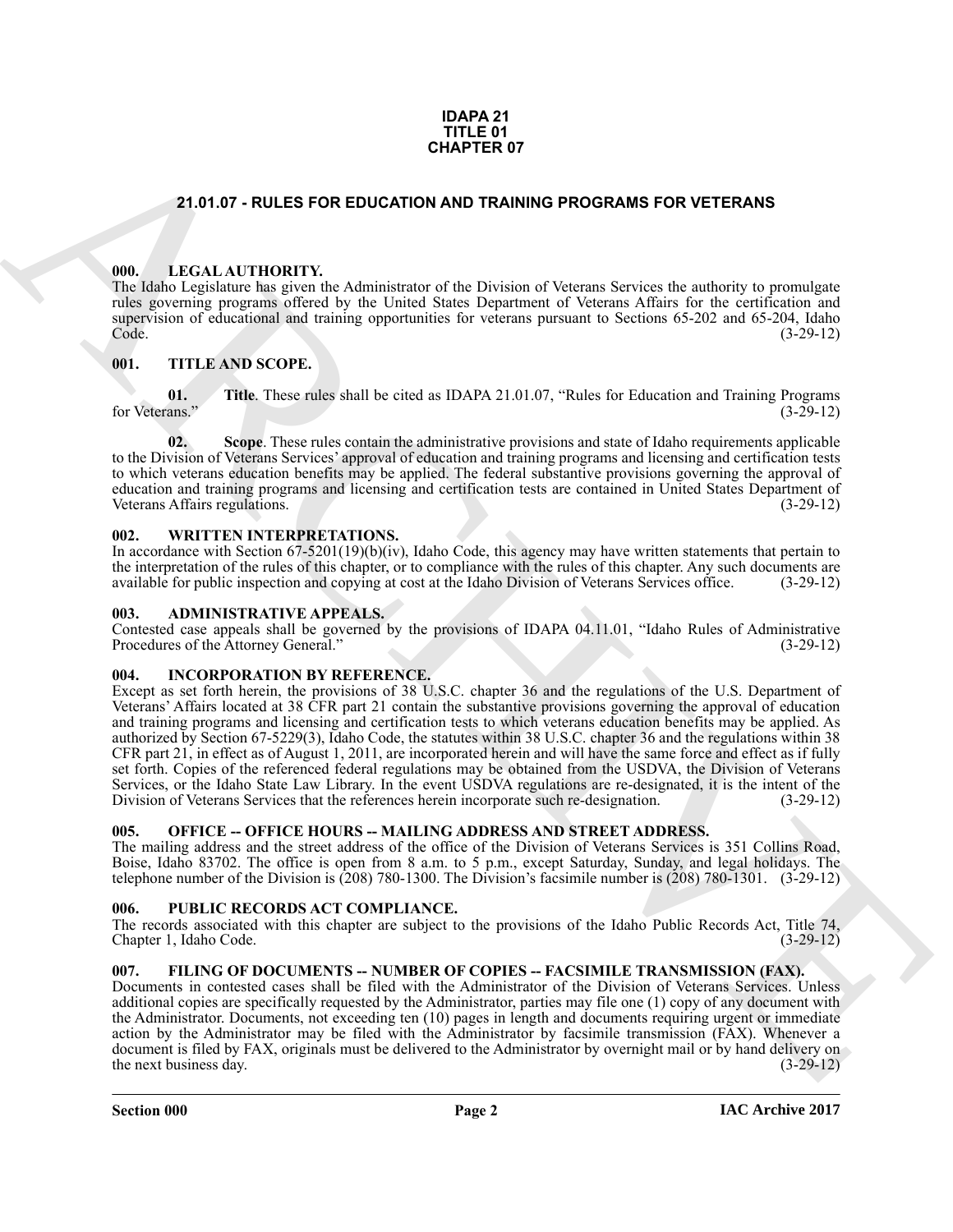#### **IDAPA 21 TITLE 01 CHAPTER 07**

#### <span id="page-1-0"></span>**21.01.07 - RULES FOR EDUCATION AND TRAINING PROGRAMS FOR VETERANS**

#### <span id="page-1-1"></span>**000. LEGAL AUTHORITY.**

The Idaho Legislature has given the Administrator of the Division of Veterans Services the authority to promulgate rules governing programs offered by the United States Department of Veterans Affairs for the certification and supervision of educational and training opportunities for veterans pursuant to Sections 65-202 and 65-204, Idaho<br>(3-29-12) Code. (3-29-12)

#### <span id="page-1-2"></span>**001. TITLE AND SCOPE.**

**Title**. These rules shall be cited as IDAPA 21.01.07, "Rules for Education and Training Programs (3-29-12)  $\frac{01}{2}$  for Veterans."

**02.** Scope. These rules contain the administrative provisions and state of Idaho requirements applicable to the Division of Veterans Services' approval of education and training programs and licensing and certification tests to which veterans education benefits may be applied. The federal substantive provisions governing the approval of education and training programs and licensing and certification tests are contained in United States Department of Veterans Affairs regulations.

#### <span id="page-1-3"></span>**002. WRITTEN INTERPRETATIONS.**

In accordance with Section 67-5201(19)(b)(iv), Idaho Code, this agency may have written statements that pertain to the interpretation of the rules of this chapter, or to compliance with the rules of this chapter. Any such documents are available for public inspection and copying at cost at the Idaho Division of Veterans Services office. (3-29-12)

#### <span id="page-1-4"></span>**003. ADMINISTRATIVE APPEALS.**

Contested case appeals shall be governed by the provisions of IDAPA 04.11.01, "Idaho Rules of Administrative Procedures of the Attorney General." (3-29-12)

#### <span id="page-1-5"></span>**004. INCORPORATION BY REFERENCE.**

**24.01.07 - RULES FOR EDUCATION MOTRIMMO PROGRAMS FOR VETERANS<br>
THE LEGAL ATTIDUKTY IF Administrative of the Division at Veteran Series the matrix to promption<br>
100. A photon interaction and the matrix of the Universal of** Except as set forth herein, the provisions of 38 U.S.C. chapter 36 and the regulations of the U.S. Department of Veterans' Affairs located at 38 CFR part 21 contain the substantive provisions governing the approval of education and training programs and licensing and certification tests to which veterans education benefits may be applied. As authorized by Section 67-5229(3), Idaho Code, the statutes within 38 U.S.C. chapter 36 and the regulations within 38 CFR part 21, in effect as of August 1, 2011, are incorporated herein and will have the same force and effect as if fully set forth. Copies of the referenced federal regulations may be obtained from the USDVA, the Division of Veterans Services, or the Idaho State Law Library. In the event USDVA regulations are re-designated, it is the intent of the Division of Veterans Services that the references herein incorporate such re-designation. (3-29-12) Division of Veterans Services that the references herein incorporate such re-designation.

#### <span id="page-1-6"></span>005. OFFICE -- OFFICE HOURS -- MAILING ADDRESS AND STREET ADDRESS.

The mailing address and the street address of the office of the Division of Veterans Services is 351 Collins Road, Boise, Idaho 83702. The office is open from 8 a.m. to 5 p.m., except Saturday, Sunday, and legal holidays. The telephone number of the Division is (208) 780-1300. The Division's facsimile number is (208) 780-1301. (3-29-12)

#### <span id="page-1-7"></span>**006. PUBLIC RECORDS ACT COMPLIANCE.**

The records associated with this chapter are subject to the provisions of the Idaho Public Records Act, Title 74, Chapter 1, Idaho Code. (3-29-12) Chapter 1, Idaho Code.

#### <span id="page-1-9"></span><span id="page-1-8"></span>**007. FILING OF DOCUMENTS -- NUMBER OF COPIES -- FACSIMILE TRANSMISSION (FAX).**

Documents in contested cases shall be filed with the Administrator of the Division of Veterans Services. Unless additional copies are specifically requested by the Administrator, parties may file one (1) copy of any document with the Administrator. Documents, not exceeding ten (10) pages in length and documents requiring urgent or immediate action by the Administrator may be filed with the Administrator by facsimile transmission (FAX). Whenever a document is filed by FAX, originals must be delivered to the Administrator by overnight mail or by hand delivery on the next business day. (3-29-12) the next business day.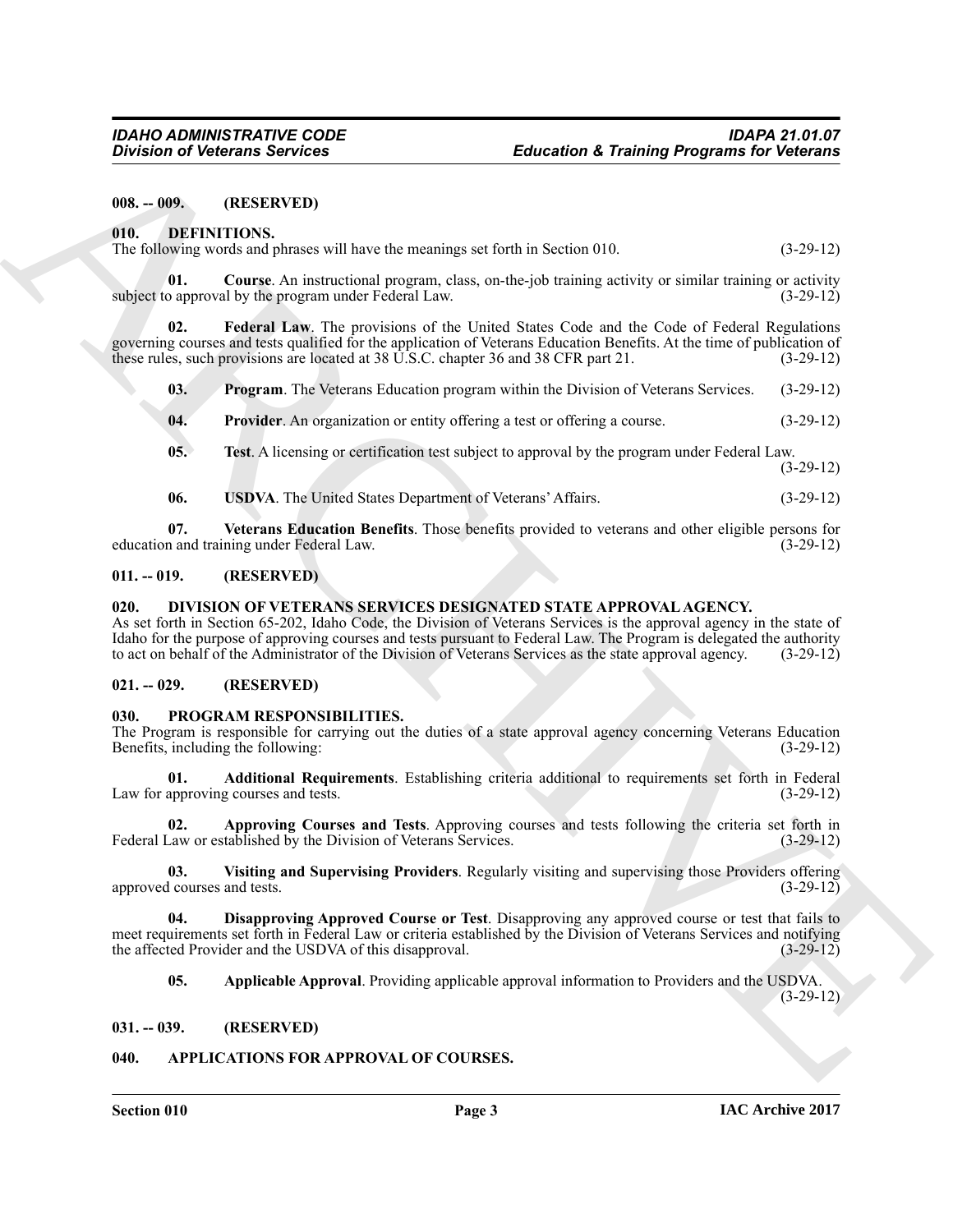<span id="page-2-0"></span>**008. -- 009. (RESERVED)**

<span id="page-2-9"></span><span id="page-2-1"></span>**010. DEFINITIONS.**

<span id="page-2-10"></span>

|  |  | The following words and phrases will have the meanings set forth in Section 010. | $(3-29-12)$ |
|--|--|----------------------------------------------------------------------------------|-------------|
|  |  |                                                                                  |             |

**01. Course**. An instructional program, class, on-the-job training activity or similar training or activity or simple program under Federal Law. subject to approval by the program under Federal Law.

Division of Victorian Services<br>
(HIL, DEEVINTIONS,<br>
1970. The GREENTINGS<br>
1981. The CHERIM Home shall have been examing at  $\sinh \theta$  according to the service of the service of the service of the service of the service of th **02. Federal Law**. The provisions of the United States Code and the Code of Federal Regulations governing courses and tests qualified for the application of Veterans Education Benefits. At the time of publication of these rules, such provisions are located at 38 U.S.C. chapter 36 and 38 CFR part 21. (3-29-12) these rules, such provisions are located at 38 U.S.C. chapter 36 and 38 CFR part 21.

<span id="page-2-12"></span><span id="page-2-11"></span>**03. Program**. The Veterans Education program within the Division of Veterans Services. (3-29-12)

<span id="page-2-13"></span>**04. Provider**. An organization or entity offering a test or offering a course. (3-29-12)

- <span id="page-2-14"></span>**05. Test**. A licensing or certification test subject to approval by the program under Federal Law. (3-29-12)
- <span id="page-2-16"></span><span id="page-2-15"></span>**06. USDVA**. The United States Department of Veterans' Affairs. (3-29-12)

**07.** Veterans Education Benefits. Those benefits provided to veterans and other eligible persons for n and training under Federal Law. (3-29-12) education and training under Federal Law.

#### <span id="page-2-2"></span>**011. -- 019. (RESERVED)**

#### <span id="page-2-17"></span><span id="page-2-3"></span>**020. DIVISION OF VETERANS SERVICES DESIGNATED STATE APPROVAL AGENCY.**

As set forth in Section 65-202, Idaho Code, the Division of Veterans Services is the approval agency in the state of Idaho for the purpose of approving courses and tests pursuant to Federal Law. The Program is delegated the authority to act on behalf of the Administrator of the Division of Veterans Services as the state approval agency. (3-29-12)

#### <span id="page-2-4"></span>**021. -- 029. (RESERVED)**

#### <span id="page-2-18"></span><span id="page-2-5"></span>**030. PROGRAM RESPONSIBILITIES.**

The Program is responsible for carrying out the duties of a state approval agency concerning Veterans Education Benefits, including the following: (3-29-12)

<span id="page-2-19"></span>**01. Additional Requirements**. Establishing criteria additional to requirements set forth in Federal Law for approving courses and tests.

<span id="page-2-21"></span>**02. Approving Courses and Tests**. Approving courses and tests following the criteria set forth in Federal Law or established by the Division of Veterans Services. (3-29-12)

<span id="page-2-23"></span>**03. Visiting and Supervising Providers**. Regularly visiting and supervising those Providers offering approved courses and tests.

**04. Disapproving Approved Course or Test**. Disapproving any approved course or test that fails to meet requirements set forth in Federal Law or criteria established by the Division of Veterans Services and notifying<br>the affected Provider and the USDVA of this disapproval. (3-29-12) the affected Provider and the USDVA of this disapproval.

<span id="page-2-22"></span><span id="page-2-20"></span>**05. Applicable Approval**. Providing applicable approval information to Providers and the USDVA.

(3-29-12)

#### <span id="page-2-6"></span>**031. -- 039. (RESERVED)**

#### <span id="page-2-8"></span><span id="page-2-7"></span>**040. APPLICATIONS FOR APPROVAL OF COURSES.**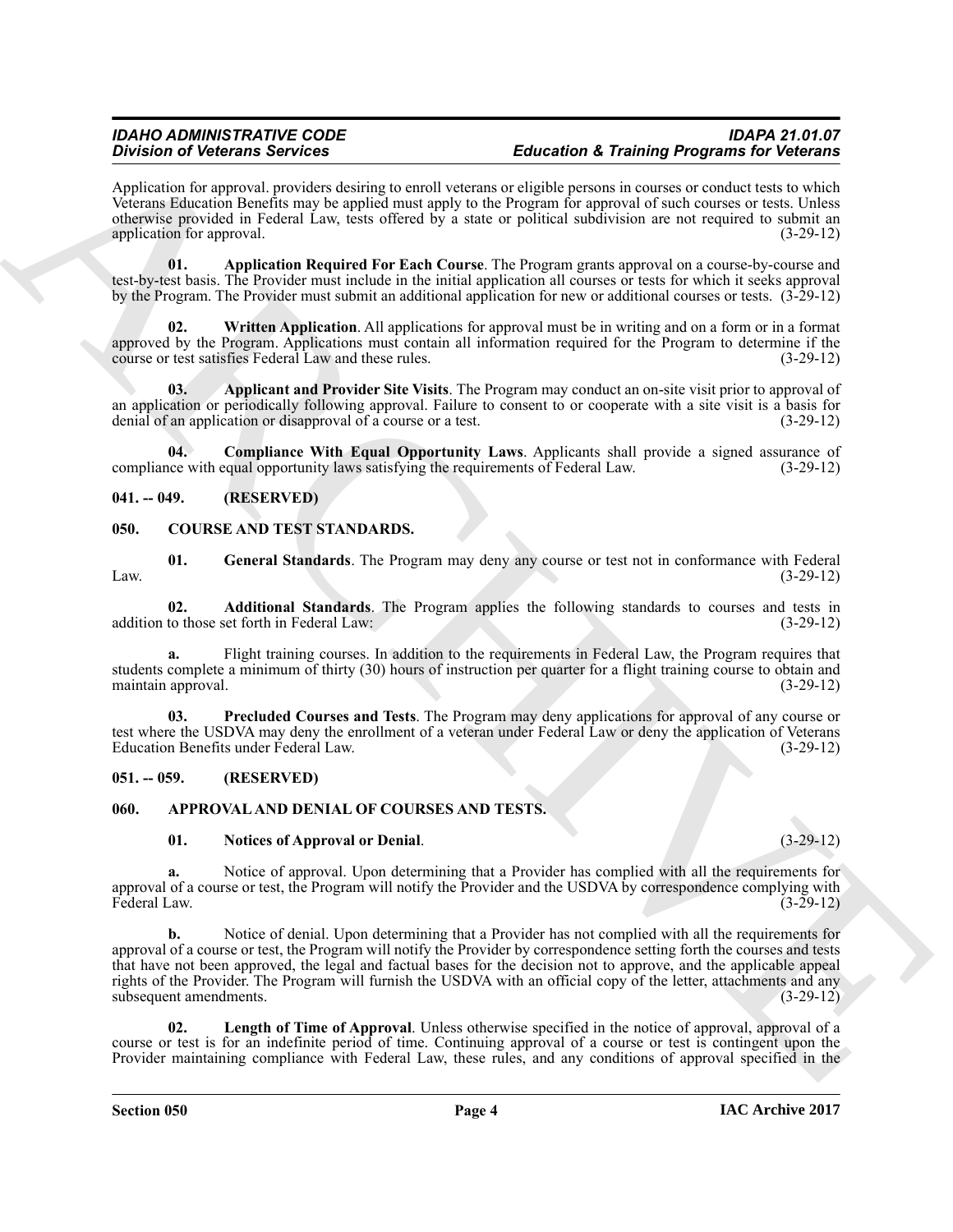#### *IDAHO ADMINISTRATIVE CODE IDAPA 21.01.07 Education & Training Programs for Veterans*

Application for approval. providers desiring to enroll veterans or eligible persons in courses or conduct tests to which Veterans Education Benefits may be applied must apply to the Program for approval of such courses or tests. Unless otherwise provided in Federal Law, tests offered by a state or political subdivision are not required to submit an application for approval. (3-29-12) (3-29-12)

<span id="page-3-5"></span>**01. Application Required For Each Course**. The Program grants approval on a course-by-course and test-by-test basis. The Provider must include in the initial application all courses or tests for which it seeks approval by the Program. The Provider must submit an additional application for new or additional courses or tests. (3-29-12)

<span id="page-3-7"></span>**Written Application.** All applications for approval must be in writing and on a form or in a format approved by the Program. Applications must contain all information required for the Program to determine if the course or test satisfies Federal Law and these rules. (3-29-12) course or test satisfies Federal Law and these rules.

<span id="page-3-4"></span>**03. Applicant and Provider Site Visits**. The Program may conduct an on-site visit prior to approval of an application or periodically following approval. Failure to consent to or cooperate with a site visit is a basis for denial of an application or disapproval of a course or a test.  $(3-29-12)$ denial of an application or disapproval of a course or a test.

<span id="page-3-6"></span>**04. Compliance With Equal Opportunity Laws**. Applicants shall provide a signed assurance of compliance with equal opportunity laws satisfying the requirements of Federal Law. (3-29-12)

#### <span id="page-3-0"></span>**041. -- 049. (RESERVED)**

#### <span id="page-3-11"></span><span id="page-3-1"></span>**050. COURSE AND TEST STANDARDS.**

<span id="page-3-13"></span>**01.** General Standards. The Program may deny any course or test not in conformance with Federal (3-29-12) Law.  $(3-29-12)$ 

<span id="page-3-12"></span>**02. Additional Standards**. The Program applies the following standards to courses and tests in to those set forth in Federal Law: (3-29-12) addition to those set forth in Federal Law:

**a.** Flight training courses. In addition to the requirements in Federal Law, the Program requires that students complete a minimum of thirty (30) hours of instruction per quarter for a flight training course to obtain and maintain approval. (3-29-12) maintain approval.

<span id="page-3-14"></span>**03. Precluded Courses and Tests**. The Program may deny applications for approval of any course or test where the USDVA may deny the enrollment of a veteran under Federal Law or deny the application of Veterans Education Benefits under Federal Law. (3-29-12)

#### <span id="page-3-2"></span>**051. -- 059. (RESERVED)**

#### <span id="page-3-3"></span>**060. APPROVAL AND DENIAL OF COURSES AND TESTS.**

#### <span id="page-3-10"></span><span id="page-3-8"></span>**01. Notices of Approval or Denial**. (3-29-12)

**a.** Notice of approval. Upon determining that a Provider has complied with all the requirements for approval of a course or test, the Program will notify the Provider and the USDVA by correspondence complying with Federal Law. (3-29-12) Federal Law. (3-29-12)

Division of Detectors Secrets Counter and the transfer of Tarihung Programs in Conclusion Counter and the second section of the second section of the second section of the second section of the second section of the secon **b.** Notice of denial. Upon determining that a Provider has not complied with all the requirements for approval of a course or test, the Program will notify the Provider by correspondence setting forth the courses and tests that have not been approved, the legal and factual bases for the decision not to approve, and the applicable appeal rights of the Provider. The Program will furnish the USDVA with an official copy of the letter, attachments and any subsequent amendments. (3-29-12) subsequent amendments.

<span id="page-3-9"></span>**02. Length of Time of Approval**. Unless otherwise specified in the notice of approval, approval of a course or test is for an indefinite period of time. Continuing approval of a course or test is contingent upon the Provider maintaining compliance with Federal Law, these rules, and any conditions of approval specified in the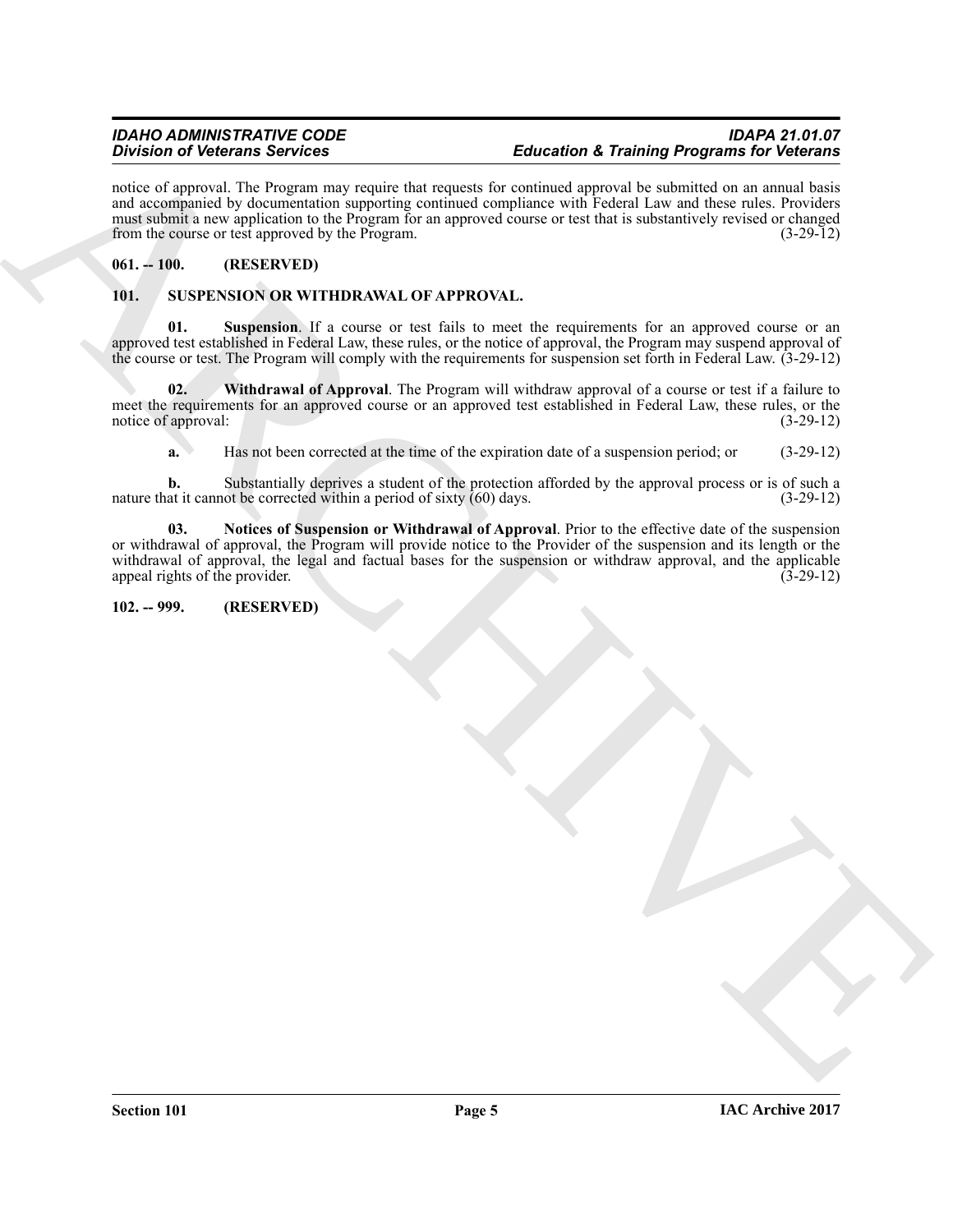notice of approval. The Program may require that requests for continued approval be submitted on an annual basis and accompanied by documentation supporting continued compliance with Federal Law and these rules. Providers must submit a new application to the Program for an approved course or test that is substantively revised or changed from the course or test approved by the Program. (3-29-12)

#### <span id="page-4-0"></span>**061. -- 100. (RESERVED)**

#### <span id="page-4-3"></span><span id="page-4-1"></span>**101. SUSPENSION OR WITHDRAWAL OF APPROVAL.**

<span id="page-4-5"></span>**01. Suspension**. If a course or test fails to meet the requirements for an approved course or an approved test established in Federal Law, these rules, or the notice of approval, the Program may suspend approval of the course or test. The Program will comply with the requirements for suspension set forth in Federal Law. (3-29-12)

**02. Withdrawal of Approval**. The Program will withdraw approval of a course or test if a failure to meet the requirements for an approved course or an approved test established in Federal Law, these rules, or the notice of approval: (3-29-12) (3-29-12)

<span id="page-4-6"></span><span id="page-4-4"></span>**a.** Has not been corrected at the time of the expiration date of a suspension period; or (3-29-12)

**b.** Substantially deprives a student of the protection afforded by the approval process or is of such a at it cannot be corrected within a period of sixty (60) days. (3-29-12) nature that it cannot be corrected within a period of sixty  $(60)$  days.

Brown of Victima Services in the space of the space of the space of the space of the space of the space of the space of the space of the space of the space of the space of the space of the space of the space of the space **03. Notices of Suspension or Withdrawal of Approval**. Prior to the effective date of the suspension or withdrawal of approval, the Program will provide notice to the Provider of the suspension and its length or the withdrawal of approval, the legal and factual bases for the suspension or withdraw approval, and the applicable appeal rights of the provider. (3-29-12) appeal rights of the provider.

#### <span id="page-4-2"></span>**102. -- 999. (RESERVED)**